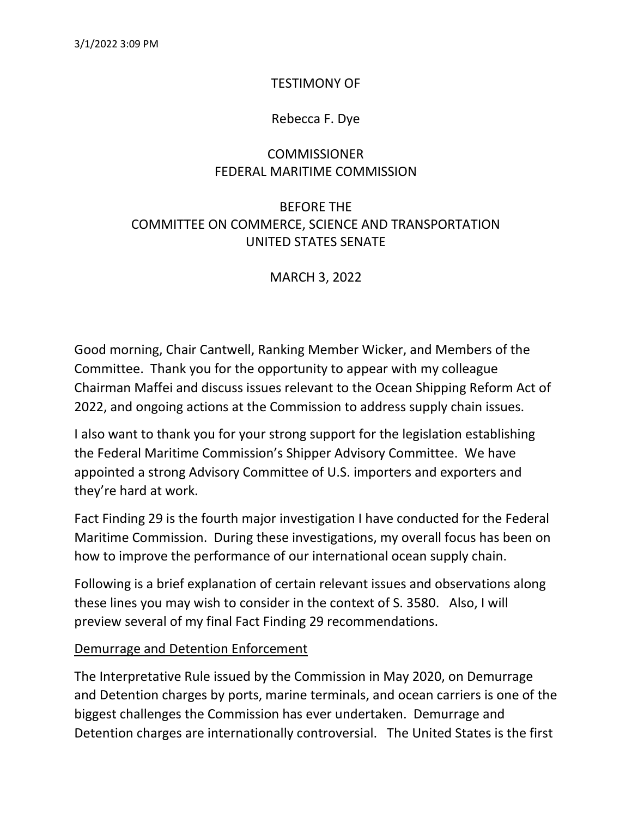## TESTIMONY OF

## Rebecca F. Dye

## **COMMISSIONER** FEDERAL MARITIME COMMISSION

# BEFORE THE COMMITTEE ON COMMERCE, SCIENCE AND TRANSPORTATION UNITED STATES SENATE

MARCH 3, 2022

Good morning, Chair Cantwell, Ranking Member Wicker, and Members of the Committee. Thank you for the opportunity to appear with my colleague Chairman Maffei and discuss issues relevant to the Ocean Shipping Reform Act of 2022, and ongoing actions at the Commission to address supply chain issues.

I also want to thank you for your strong support for the legislation establishing the Federal Maritime Commission's Shipper Advisory Committee. We have appointed a strong Advisory Committee of U.S. importers and exporters and they're hard at work.

Fact Finding 29 is the fourth major investigation I have conducted for the Federal Maritime Commission. During these investigations, my overall focus has been on how to improve the performance of our international ocean supply chain.

Following is a brief explanation of certain relevant issues and observations along these lines you may wish to consider in the context of S. 3580. Also, I will preview several of my final Fact Finding 29 recommendations.

#### Demurrage and Detention Enforcement

The Interpretative Rule issued by the Commission in May 2020, on Demurrage and Detention charges by ports, marine terminals, and ocean carriers is one of the biggest challenges the Commission has ever undertaken. Demurrage and Detention charges are internationally controversial. The United States is the first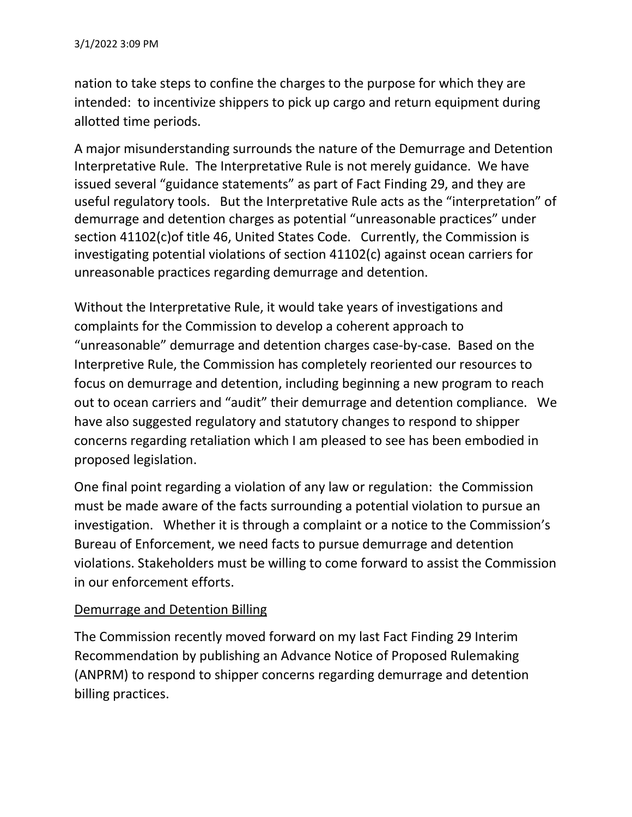nation to take steps to confine the charges to the purpose for which they are intended: to incentivize shippers to pick up cargo and return equipment during allotted time periods.

A major misunderstanding surrounds the nature of the Demurrage and Detention Interpretative Rule. The Interpretative Rule is not merely guidance. We have issued several "guidance statements" as part of Fact Finding 29, and they are useful regulatory tools. But the Interpretative Rule acts as the "interpretation" of demurrage and detention charges as potential "unreasonable practices" under section 41102(c)of title 46, United States Code. Currently, the Commission is investigating potential violations of section 41102(c) against ocean carriers for unreasonable practices regarding demurrage and detention.

Without the Interpretative Rule, it would take years of investigations and complaints for the Commission to develop a coherent approach to "unreasonable" demurrage and detention charges case-by-case. Based on the Interpretive Rule, the Commission has completely reoriented our resources to focus on demurrage and detention, including beginning a new program to reach out to ocean carriers and "audit" their demurrage and detention compliance. We have also suggested regulatory and statutory changes to respond to shipper concerns regarding retaliation which I am pleased to see has been embodied in proposed legislation.

One final point regarding a violation of any law or regulation: the Commission must be made aware of the facts surrounding a potential violation to pursue an investigation. Whether it is through a complaint or a notice to the Commission's Bureau of Enforcement, we need facts to pursue demurrage and detention violations. Stakeholders must be willing to come forward to assist the Commission in our enforcement efforts.

## Demurrage and Detention Billing

The Commission recently moved forward on my last Fact Finding 29 Interim Recommendation by publishing an Advance Notice of Proposed Rulemaking (ANPRM) to respond to shipper concerns regarding demurrage and detention billing practices.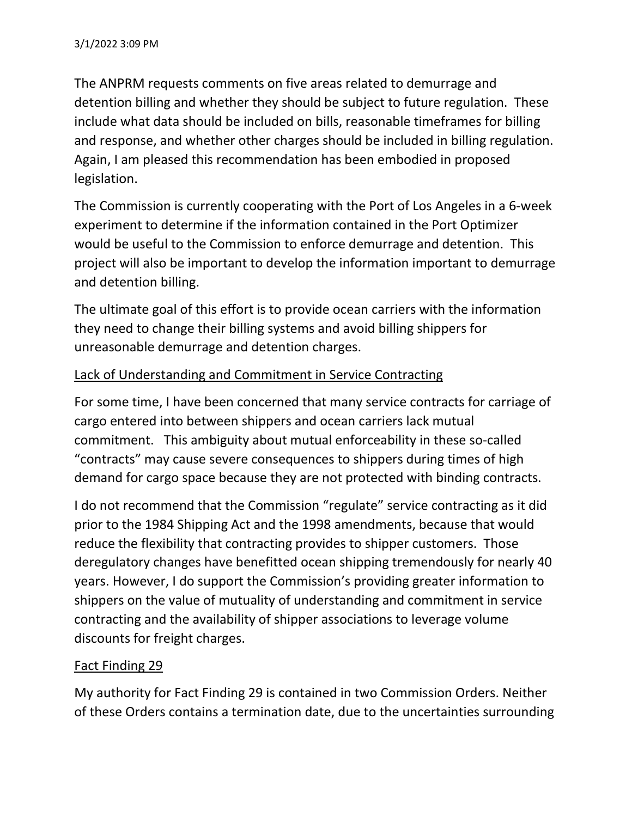The ANPRM requests comments on five areas related to demurrage and detention billing and whether they should be subject to future regulation. These include what data should be included on bills, reasonable timeframes for billing and response, and whether other charges should be included in billing regulation. Again, I am pleased this recommendation has been embodied in proposed legislation.

The Commission is currently cooperating with the Port of Los Angeles in a 6-week experiment to determine if the information contained in the Port Optimizer would be useful to the Commission to enforce demurrage and detention. This project will also be important to develop the information important to demurrage and detention billing.

The ultimate goal of this effort is to provide ocean carriers with the information they need to change their billing systems and avoid billing shippers for unreasonable demurrage and detention charges.

## Lack of Understanding and Commitment in Service Contracting

For some time, I have been concerned that many service contracts for carriage of cargo entered into between shippers and ocean carriers lack mutual commitment. This ambiguity about mutual enforceability in these so-called "contracts" may cause severe consequences to shippers during times of high demand for cargo space because they are not protected with binding contracts.

I do not recommend that the Commission "regulate" service contracting as it did prior to the 1984 Shipping Act and the 1998 amendments, because that would reduce the flexibility that contracting provides to shipper customers. Those deregulatory changes have benefitted ocean shipping tremendously for nearly 40 years. However, I do support the Commission's providing greater information to shippers on the value of mutuality of understanding and commitment in service contracting and the availability of shipper associations to leverage volume discounts for freight charges.

### Fact Finding 29

My authority for Fact Finding 29 is contained in two Commission Orders. Neither of these Orders contains a termination date, due to the uncertainties surrounding